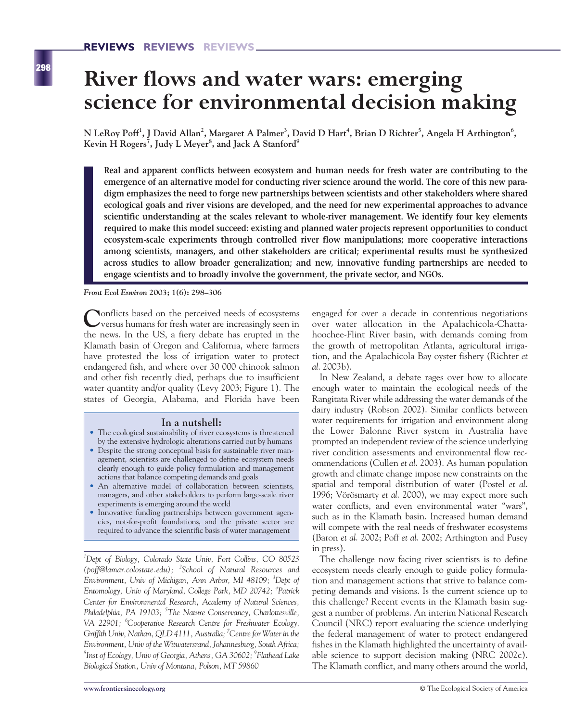# **River flows and water wars: emerging science for environmental decision making**

 $N$  LeRoy Poff<sup>1</sup>, J David Allan<sup>2</sup>, Margaret A Palmer<sup>3</sup>, David D Hart<sup>4</sup>, Brian D Richter<sup>5</sup>, Angela H Arthington<sup>6</sup>,  $\operatorname{Kevin}\nolimits \operatorname{H}\nolimits \operatorname{Rogers}\nolimits^7$ , Judy  $\operatorname{L}\nolimits \operatorname{Meyer}\nolimits^8$ , and Jack  $\operatorname{A}\nolimits \operatorname{Stanford}\nolimits^9$ 

**Real and apparent conflicts between ecosystem and human needs for fresh water are contributing to the emergence of an alternative model for conducting river science around the world. The core of this new paradigm emphasizes the need to forge new partnerships between scientists and other stakeholders where shared ecological goals and river visions are developed, and the need for new experimental approaches to advance scientific understanding at the scales relevant to whole-river management. We identify four key elements required to make this model succeed: existing and planned water projects represent opportunities to conduct ecosystem-scale experiments through controlled river flow manipulations; more cooperative interactions among scientists, managers, and other stakeholders are critical; experimental results must be synthesized across studies to allow broader generalization; and new, innovative funding partnerships are needed to engage scientists and to broadly involve the government, the private sector, and NGOs.** 

*Front Ecol Environ* **2003; 1(6): 298–306**

**C**onflicts based on the perceived needs of ecosystems versus humans for fresh water are increasingly seen in the news. In the US, a fiery debate has erupted in the Klamath basin of Oregon and California, where farmers have protested the loss of irrigation water to protect endangered fish, and where over 30 000 chinook salmon and other fish recently died, perhaps due to insufficient water quantity and/or quality (Levy 2003; Figure 1). The states of Georgia, Alabama, and Florida have been

#### **In a nutshell:**

- The ecological sustainability of river ecosystems is threatened by the extensive hydrologic alterations carried out by humans
- Despite the strong conceptual basis for sustainable river management, scientists are challenged to define ecosystem needs clearly enough to guide policy formulation and management actions that balance competing demands and goals
- An alternative model of collaboration between scientists, managers, and other stakeholders to perform large-scale river experiments is emerging around the world
- Innovative funding partnerships between government agencies, not-for-profit foundations, and the private sector are required to advance the scientific basis of water management

*1 Dept of Biology, Colorado State Univ, Fort Collins, CO 80523 (poff@lamar.colostate.edu); <sup>2</sup> School of Natural Resources and Environment, Univ of Michigan, Ann Arbor, MI 48109; <sup>3</sup> Dept of Entomology, Univ of Maryland, College Park, MD 20742; <sup>4</sup> Patrick Center for Environmental Research, Academy of Natural Sciences, Philadelphia, PA 19103; <sup>5</sup> The Nature Conservancy, Charlottesville, VA 22901; <sup>6</sup> Cooperative Research Centre for Freshwater Ecology, Griffith Univ, Nathan, QLD 4111, Australia; 7 Centre for Water in the Environment, Univ of the Witwatersrand, Johannesburg, South Africa; 8 Inst of Ecology, Univ of Georgia, Athens, GA 30602; 9 Flathead Lake Biological Station, Univ of Montana, Polson, MT 59860*

engaged for over a decade in contentious negotiations over water allocation in the Apalachicola-Chattahoochee-Flint River basin, with demands coming from the growth of metropolitan Atlanta, agricultural irrigation, and the Apalachicola Bay oyster fishery (Richter *et al*. 2003b).

In New Zealand, a debate rages over how to allocate enough water to maintain the ecological needs of the Rangitata River while addressing the water demands of the dairy industry (Robson 2002). Similar conflicts between water requirements for irrigation and environment along the Lower Balonne River system in Australia have prompted an independent review of the science underlying river condition assessments and environmental flow recommendations (Cullen *et al*. 2003). As human population growth and climate change impose new constraints on the spatial and temporal distribution of water (Postel *et al*. 1996; Vörösmarty *et al*. 2000), we may expect more such water conflicts, and even environmental water "wars", such as in the Klamath basin. Increased human demand will compete with the real needs of freshwater ecosystems (Baron *et al*. 2002; Poff *et al*. 2002; Arthington and Pusey in press).

The challenge now facing river scientists is to define ecosystem needs clearly enough to guide policy formulation and management actions that strive to balance competing demands and visions. Is the current science up to this challenge? Recent events in the Klamath basin suggest a number of problems. An interim National Research Council (NRC) report evaluating the science underlying the federal management of water to protect endangered fishes in the Klamath highlighted the uncertainty of available science to support decision making (NRC 2002c). The Klamath conflict, and many others around the world,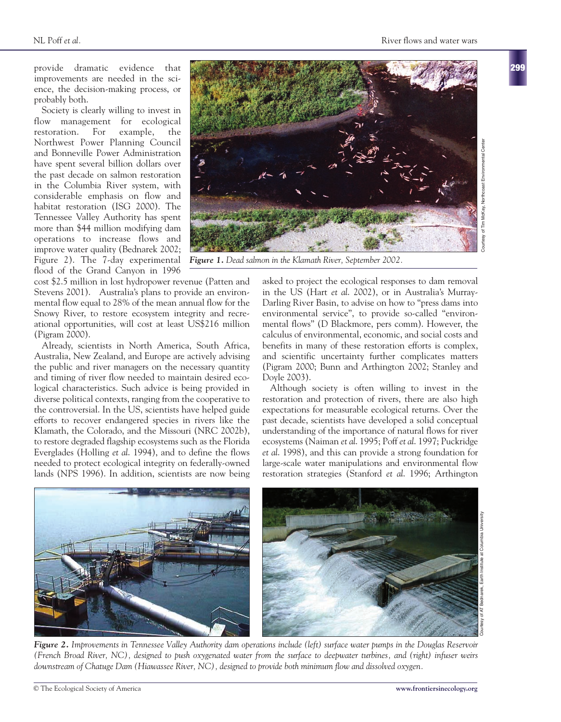provide dramatic evidence that improvements are needed in the science, the decision-making process, or probably both.

Society is clearly willing to invest in flow management for ecological restoration. For example, the Northwest Power Planning Council and Bonneville Power Administration have spent several billion dollars over the past decade on salmon restoration in the Columbia River system, with considerable emphasis on flow and habitat restoration (ISG 2000). The Tennessee Valley Authority has spent more than \$44 million modifying dam operations to increase flows and improve water quality (Bednarek 2002; Figure 2). The 7-day experimental flood of the Grand Canyon in 1996

cost \$2.5 million in lost hydropower revenue (Patten and Stevens 2001). Australia's plans to provide an environmental flow equal to 28% of the mean annual flow for the Snowy River, to restore ecosystem integrity and recreational opportunities, will cost at least US\$216 million (Pigram 2000).

Already, scientists in North America, South Africa, Australia, New Zealand, and Europe are actively advising the public and river managers on the necessary quantity and timing of river flow needed to maintain desired ecological characteristics. Such advice is being provided in diverse political contexts, ranging from the cooperative to the controversial. In the US, scientists have helped guide efforts to recover endangered species in rivers like the Klamath, the Colorado, and the Missouri (NRC 2002b), to restore degraded flagship ecosystems such as the Florida Everglades (Holling *et al*. 1994), and to define the flows needed to protect ecological integrity on federally-owned lands (NPS 1996). In addition, scientists are now being



*Figure 1. Dead salmon in the Klamath River, September 2002.*

asked to project the ecological responses to dam removal in the US (Hart *et al*. 2002), or in Australia's Murray-Darling River Basin, to advise on how to "press dams into environmental service", to provide so-called "environmental flows" (D Blackmore, pers comm). However, the calculus of environmental, economic, and social costs and benefits in many of these restoration efforts is complex, and scientific uncertainty further complicates matters (Pigram 2000; Bunn and Arthington 2002; Stanley and Doyle 2003).

Although society is often willing to invest in the restoration and protection of rivers, there are also high expectations for measurable ecological returns. Over the past decade, scientists have developed a solid conceptual understanding of the importance of natural flows for river ecosystems (Naiman *et al*. 1995; Poff *et al*. 1997; Puckridge *et al*. 1998), and this can provide a strong foundation for large-scale water manipulations and environmental flow restoration strategies (Stanford *et al*. 1996; Arthington



*Figure 2. Improvements in Tennessee Valley Authority dam operations include (left) surface water pumps in the Douglas Reservoir (French Broad River, NC), designed to push oxygenated water from the surface to deepwater turbines, and (right) infuser weirs downstream of Chatuge Dam (Hiawassee River, NC), designed to provide both minimum flow and dissolved oxygen.*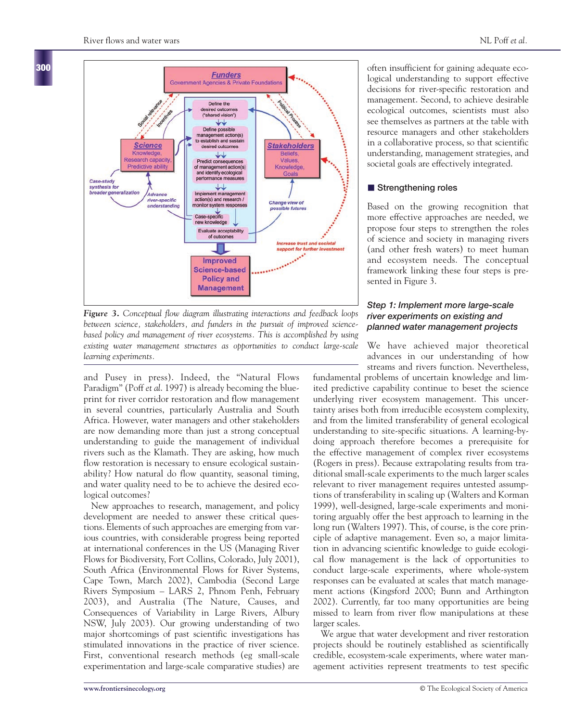



*Figure 3. Conceptual flow diagram illustrating interactions and feedback loops between science, stakeholders, and funders in the pursuit of improved sciencebased policy and management of river ecosystems. This is accomplished by using existing water management structures as opportunities to conduct large-scale learning experiments.*

and Pusey in press). Indeed, the "Natural Flows Paradigm" (Poff *et al*. 1997) is already becoming the blueprint for river corridor restoration and flow management in several countries, particularly Australia and South Africa. However, water managers and other stakeholders are now demanding more than just a strong conceptual understanding to guide the management of individual rivers such as the Klamath. They are asking, how much flow restoration is necessary to ensure ecological sustainability? How natural do flow quantity, seasonal timing, and water quality need to be to achieve the desired ecological outcomes?

New approaches to research, management, and policy development are needed to answer these critical questions. Elements of such approaches are emerging from various countries, with considerable progress being reported at international conferences in the US (Managing River Flows for Biodiversity, Fort Collins, Colorado, July 2001), South Africa (Environmental Flows for River Systems, Cape Town, March 2002), Cambodia (Second Large Rivers Symposium – LARS 2, Phnom Penh, February 2003), and Australia (The Nature, Causes, and Consequences of Variability in Large Rivers, Albury NSW, July 2003). Our growing understanding of two major shortcomings of past scientific investigations has stimulated innovations in the practice of river science. First, conventional research methods (eg small-scale experimentation and large-scale comparative studies) are often insufficient for gaining adequate ecological understanding to support effective decisions for river-specific restoration and management. Second, to achieve desirable ecological outcomes, scientists must also see themselves as partners at the table with resource managers and other stakeholders in a collaborative process, so that scientific understanding, management strategies, and societal goals are effectively integrated.

## $\blacksquare$  **Strengthening roles**

Based on the growing recognition that more effective approaches are needed, we propose four steps to strengthen the roles of science and society in managing rivers (and other fresh waters) to meet human and ecosystem needs. The conceptual framework linking these four steps is presented in Figure 3.

## *Step 1: Implement more large-scale river experiments on existing and planned water management projects*

We have achieved major theoretical advances in our understanding of how streams and rivers function. Nevertheless,

fundamental problems of uncertain knowledge and limited predictive capability continue to beset the science underlying river ecosystem management. This uncertainty arises both from irreducible ecosystem complexity, and from the limited transferability of general ecological understanding to site-specific situations. A learning-bydoing approach therefore becomes a prerequisite for the effective management of complex river ecosystems (Rogers in press). Because extrapolating results from traditional small-scale experiments to the much larger scales relevant to river management requires untested assumptions of transferability in scaling up (Walters and Korman 1999), well-designed, large-scale experiments and monitoring arguably offer the best approach to learning in the long run (Walters 1997). This, of course, is the core principle of adaptive management. Even so, a major limitation in advancing scientific knowledge to guide ecological flow management is the lack of opportunities to conduct large-scale experiments, where whole-system responses can be evaluated at scales that match management actions (Kingsford 2000; Bunn and Arthington 2002). Currently, far too many opportunities are being missed to learn from river flow manipulations at these larger scales.

We argue that water development and river restoration projects should be routinely established as scientifically credible, ecosystem-scale experiments, where water management activities represent treatments to test specific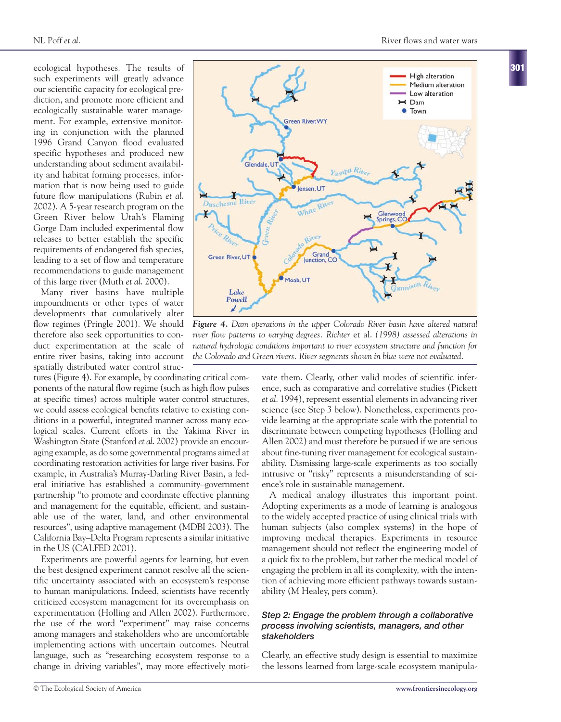ecological hypotheses. The results of such experiments will greatly advance our scientific capacity for ecological prediction, and promote more efficient and ecologically sustainable water management. For example, extensive monitoring in conjunction with the planned 1996 Grand Canyon flood evaluated specific hypotheses and produced new understanding about sediment availability and habitat forming processes, information that is now being used to guide future flow manipulations (Rubin *et al*. 2002). A 5-year research program on the Green River below Utah's Flaming Gorge Dam included experimental flow releases to better establish the specific requirements of endangered fish species, leading to a set of flow and temperature recommendations to guide management of this large river (Muth *et al*. 2000).

Many river basins have multiple impoundments or other types of water developments that cumulatively alter flow regimes (Pringle 2001). We should therefore also seek opportunities to conduct experimentation at the scale of entire river basins, taking into account spatially distributed water control struc-

tures (Figure 4). For example, by coordinating critical components of the natural flow regime (such as high flow pulses at specific times) across multiple water control structures, we could assess ecological benefits relative to existing conditions in a powerful, integrated manner across many ecological scales. Current efforts in the Yakima River in Washington State (Stanford *et al*. 2002) provide an encouraging example, as do some governmental programs aimed at coordinating restoration activities for large river basins. For example, in Australia's Murray-Darling River Basin, a federal initiative has established a community–government partnership "to promote and coordinate effective planning and management for the equitable, efficient, and sustainable use of the water, land, and other environmental resources", using adaptive management (MDBI 2003). The California Bay–Delta Program represents a similar initiative in the US (CALFED 2001).

Experiments are powerful agents for learning, but even the best designed experiment cannot resolve all the scientific uncertainty associated with an ecosystem's response to human manipulations. Indeed, scientists have recently criticized ecosystem management for its overemphasis on experimentation (Holling and Allen 2002). Furthermore, the use of the word "experiment" may raise concerns among managers and stakeholders who are uncomfortable implementing actions with uncertain outcomes. Neutral language, such as "researching ecosystem response to a change in driving variables", may more effectively moti-



*Figure 4. Dam operations in the upper Colorado River basin have altered natural river flow patterns to varying degrees. Richter* et al. *(1998) assessed alterations in natural hydrologic conditions important to river ecosystem structure and function for the Colorado and Green rivers. River segments shown in blue were not evaluated.*

vate them. Clearly, other valid modes of scientific inference, such as comparative and correlative studies (Pickett *et al*. 1994), represent essential elements in advancing river science (see Step 3 below). Nonetheless, experiments provide learning at the appropriate scale with the potential to discriminate between competing hypotheses (Holling and Allen 2002) and must therefore be pursued if we are serious about fine-tuning river management for ecological sustainability. Dismissing large-scale experiments as too socially intrusive or "risky" represents a misunderstanding of science's role in sustainable management.

A medical analogy illustrates this important point. Adopting experiments as a mode of learning is analogous to the widely accepted practice of using clinical trials with human subjects (also complex systems) in the hope of improving medical therapies. Experiments in resource management should not reflect the engineering model of a quick fix to the problem, but rather the medical model of engaging the problem in all its complexity, with the intention of achieving more efficient pathways towards sustainability (M Healey, pers comm).

## *Step 2: Engage the problem through a collaborative process involving scientists, managers, and other stakeholders*

Clearly, an effective study design is essential to maximize the lessons learned from large-scale ecosystem manipula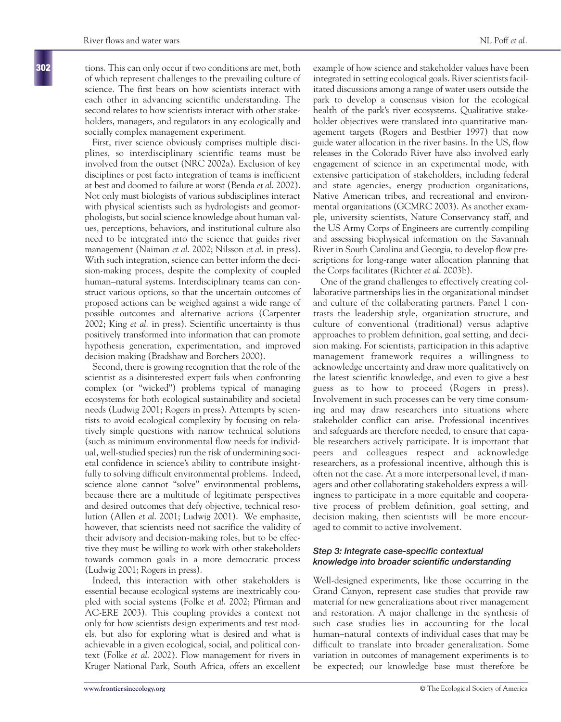**302**

tions. This can only occur if two conditions are met, both of which represent challenges to the prevailing culture of science. The first bears on how scientists interact with each other in advancing scientific understanding. The second relates to how scientists interact with other stakeholders, managers, and regulators in any ecologically and socially complex management experiment.

First, river science obviously comprises multiple disciplines, so interdisciplinary scientific teams must be involved from the outset (NRC 2002a). Exclusion of key disciplines or post facto integration of teams is inefficient at best and doomed to failure at worst (Benda *et al*. 2002). Not only must biologists of various subdisciplines interact with physical scientists such as hydrologists and geomorphologists, but social science knowledge about human values, perceptions, behaviors, and institutional culture also need to be integrated into the science that guides river management (Naiman *et al*. 2002; Nilsson *et al*. in press). With such integration, science can better inform the decision-making process, despite the complexity of coupled human–natural systems. Interdisciplinary teams can construct various options, so that the uncertain outcomes of proposed actions can be weighed against a wide range of possible outcomes and alternative actions (Carpenter 2002; King *et al*. in press). Scientific uncertainty is thus positively transformed into information that can promote hypothesis generation, experimentation, and improved decision making (Bradshaw and Borchers 2000).

Second, there is growing recognition that the role of the scientist as a disinterested expert fails when confronting complex (or "wicked") problems typical of managing ecosystems for both ecological sustainability and societal needs (Ludwig 2001; Rogers in press). Attempts by scientists to avoid ecological complexity by focusing on relatively simple questions with narrow technical solutions (such as minimum environmental flow needs for individual, well-studied species) run the risk of undermining societal confidence in science's ability to contribute insightfully to solving difficult environmental problems. Indeed, science alone cannot "solve" environmental problems, because there are a multitude of legitimate perspectives and desired outcomes that defy objective, technical resolution (Allen *et al*. 2001; Ludwig 2001). We emphasize, however, that scientists need not sacrifice the validity of their advisory and decision-making roles, but to be effective they must be willing to work with other stakeholders towards common goals in a more democratic process (Ludwig 2001; Rogers in press).

Indeed, this interaction with other stakeholders is essential because ecological systems are inextricably coupled with social systems (Folke *et al*. 2002; Pfirman and AC-ERE 2003). This coupling provides a context not only for how scientists design experiments and test models, but also for exploring what is desired and what is achievable in a given ecological, social, and political context (Folke *et al*. 2002). Flow management for rivers in Kruger National Park, South Africa, offers an excellent

example of how science and stakeholder values have been integrated in setting ecological goals. River scientists facilitated discussions among a range of water users outside the park to develop a consensus vision for the ecological health of the park's river ecosystems. Qualitative stakeholder objectives were translated into quantitative management targets (Rogers and Bestbier 1997) that now guide water allocation in the river basins. In the US, flow releases in the Colorado River have also involved early engagement of science in an experimental mode, with extensive participation of stakeholders, including federal and state agencies, energy production organizations, Native American tribes, and recreational and environmental organizations (GCMRC 2003). As another example, university scientists, Nature Conservancy staff, and the US Army Corps of Engineers are currently compiling and assessing biophysical information on the Savannah River in South Carolina and Georgia, to develop flow prescriptions for long-range water allocation planning that the Corps facilitates (Richter *et al*. 2003b).

One of the grand challenges to effectively creating collaborative partnerships lies in the organizational mindset and culture of the collaborating partners. Panel 1 contrasts the leadership style, organization structure, and culture of conventional (traditional) versus adaptive approaches to problem definition, goal setting, and decision making. For scientists, participation in this adaptive management framework requires a willingness to acknowledge uncertainty and draw more qualitatively on the latest scientific knowledge, and even to give a best guess as to how to proceed (Rogers in press). Involvement in such processes can be very time consuming and may draw researchers into situations where stakeholder conflict can arise. Professional incentives and safeguards are therefore needed, to ensure that capable researchers actively participate. It is important that peers and colleagues respect and acknowledge researchers, as a professional incentive, although this is often not the case. At a more interpersonal level, if managers and other collaborating stakeholders express a willingness to participate in a more equitable and cooperative process of problem definition, goal setting, and decision making, then scientists will be more encouraged to commit to active involvement.

### *Step 3: Integrate case-specific contextual knowledge into broader scientific understanding*

Well-designed experiments, like those occurring in the Grand Canyon, represent case studies that provide raw material for new generalizations about river management and restoration. A major challenge in the synthesis of such case studies lies in accounting for the local human–natural contexts of individual cases that may be difficult to translate into broader generalization. Some variation in outcomes of management experiments is to be expected; our knowledge base must therefore be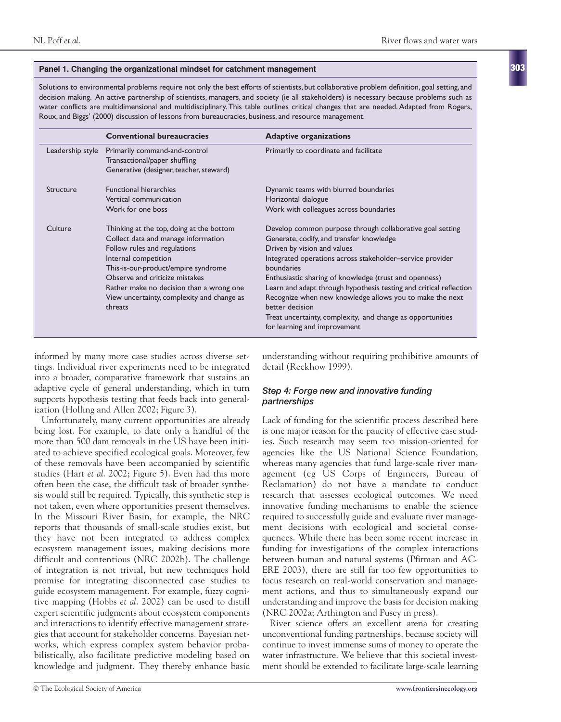#### **Panel 1. Changing the organizational mindset for catchment management**

Solutions to environmental problems require not only the best efforts of scientists, but collaborative problem definition, goal setting, and decision making. An active partnership of scientists, managers, and society (ie all stakeholders) is necessary because problems such as water conflicts are multidimensional and multidisciplinary. This table outlines critical changes that are needed. Adapted from Rogers, Roux, and Biggs' (2000) discussion of lessons from bureaucracies, business, and resource management.

|                  | <b>Conventional bureaucracies</b>                                                                                                                                                                                                                                                                                     | <b>Adaptive organizations</b>                                                                                                                                                                                                                                                                                                                                                                                                                                                                                                |
|------------------|-----------------------------------------------------------------------------------------------------------------------------------------------------------------------------------------------------------------------------------------------------------------------------------------------------------------------|------------------------------------------------------------------------------------------------------------------------------------------------------------------------------------------------------------------------------------------------------------------------------------------------------------------------------------------------------------------------------------------------------------------------------------------------------------------------------------------------------------------------------|
| Leadership style | Primarily command-and-control<br>Transactional/paper shuffling<br>Generative (designer, teacher, steward)                                                                                                                                                                                                             | Primarily to coordinate and facilitate                                                                                                                                                                                                                                                                                                                                                                                                                                                                                       |
| Structure        | <b>Functional hierarchies</b><br>Vertical communication<br>Work for one boss                                                                                                                                                                                                                                          | Dynamic teams with blurred boundaries<br>Horizontal dialogue<br>Work with colleagues across boundaries                                                                                                                                                                                                                                                                                                                                                                                                                       |
| Culture          | Thinking at the top, doing at the bottom<br>Collect data and manage information<br>Follow rules and regulations<br>Internal competition<br>This-is-our-product/empire syndrome<br>Observe and criticize mistakes<br>Rather make no decision than a wrong one<br>View uncertainty, complexity and change as<br>threats | Develop common purpose through collaborative goal setting<br>Generate, codify, and transfer knowledge<br>Driven by vision and values<br>Integrated operations across stakeholder-service provider<br>boundaries<br>Enthusiastic sharing of knowledge (trust and openness)<br>Learn and adapt through hypothesis testing and critical reflection<br>Recognize when new knowledge allows you to make the next<br>better decision<br>Treat uncertainty, complexity, and change as opportunities<br>for learning and improvement |

informed by many more case studies across diverse settings. Individual river experiments need to be integrated into a broader, comparative framework that sustains an adaptive cycle of general understanding, which in turn supports hypothesis testing that feeds back into generalization (Holling and Allen 2002; Figure 3).

Unfortunately, many current opportunities are already being lost. For example, to date only a handful of the more than 500 dam removals in the US have been initiated to achieve specified ecological goals. Moreover, few of these removals have been accompanied by scientific studies (Hart *et al*. 2002; Figure 5). Even had this more often been the case, the difficult task of broader synthesis would still be required. Typically, this synthetic step is not taken, even where opportunities present themselves. In the Missouri River Basin, for example, the NRC reports that thousands of small-scale studies exist, but they have not been integrated to address complex ecosystem management issues, making decisions more difficult and contentious (NRC 2002b). The challenge of integration is not trivial, but new techniques hold promise for integrating disconnected case studies to guide ecosystem management. For example, fuzzy cognitive mapping (Hobbs *et al*. 2002) can be used to distill expert scientific judgments about ecosystem components and interactions to identify effective management strategies that account for stakeholder concerns. Bayesian networks, which express complex system behavior probabilistically, also facilitate predictive modeling based on knowledge and judgment. They thereby enhance basic understanding without requiring prohibitive amounts of detail (Reckhow 1999).

# *Step 4: Forge new and innovative funding partnerships*

Lack of funding for the scientific process described here is one major reason for the paucity of effective case studies. Such research may seem too mission-oriented for agencies like the US National Science Foundation, whereas many agencies that fund large-scale river management (eg US Corps of Engineers, Bureau of Reclamation) do not have a mandate to conduct research that assesses ecological outcomes. We need innovative funding mechanisms to enable the science required to successfully guide and evaluate river management decisions with ecological and societal consequences. While there has been some recent increase in funding for investigations of the complex interactions between human and natural systems (Pfirman and AC-ERE 2003), there are still far too few opportunities to focus research on real-world conservation and management actions, and thus to simultaneously expand our understanding and improve the basis for decision making (NRC 2002a; Arthington and Pusey in press).

River science offers an excellent arena for creating unconventional funding partnerships, because society will continue to invest immense sums of money to operate the water infrastructure. We believe that this societal investment should be extended to facilitate large-scale learning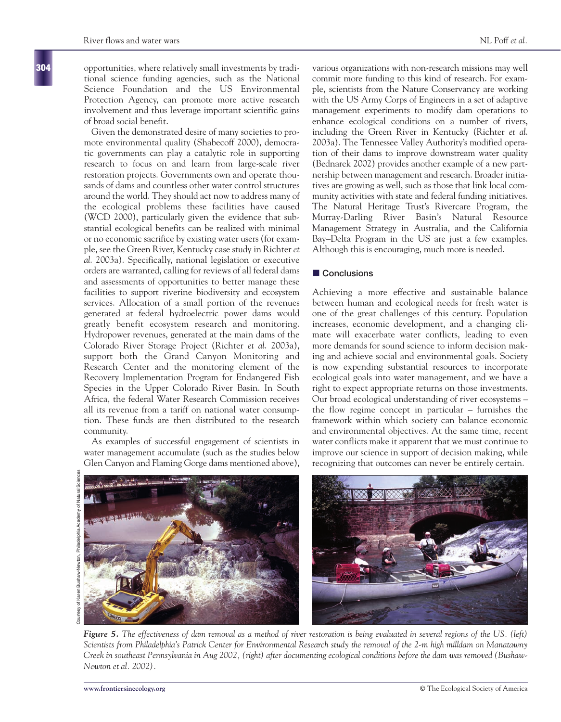**304**

opportunities, where relatively small investments by traditional science funding agencies, such as the National Science Foundation and the US Environmental Protection Agency, can promote more active research involvement and thus leverage important scientific gains of broad social benefit.

Given the demonstrated desire of many societies to promote environmental quality (Shabecoff 2000), democratic governments can play a catalytic role in supporting research to focus on and learn from large-scale river restoration projects. Governments own and operate thousands of dams and countless other water control structures around the world. They should act now to address many of the ecological problems these facilities have caused (WCD 2000), particularly given the evidence that substantial ecological benefits can be realized with minimal or no economic sacrifice by existing water users (for example, see the Green River, Kentucky case study in Richter *et al*. 2003a). Specifically, national legislation or executive orders are warranted, calling for reviews of all federal dams and assessments of opportunities to better manage these facilities to support riverine biodiversity and ecosystem services. Allocation of a small portion of the revenues generated at federal hydroelectric power dams would greatly benefit ecosystem research and monitoring. Hydropower revenues, generated at the main dams of the Colorado River Storage Project (Richter *et al*. 2003a), support both the Grand Canyon Monitoring and Research Center and the monitoring element of the Recovery Implementation Program for Endangered Fish Species in the Upper Colorado River Basin. In South Africa, the federal Water Research Commission receives all its revenue from a tariff on national water consumption. These funds are then distributed to the research community.

As examples of successful engagement of scientists in water management accumulate (such as the studies below Glen Canyon and Flaming Gorge dams mentioned above),

various organizations with non-research missions may well commit more funding to this kind of research. For example, scientists from the Nature Conservancy are working with the US Army Corps of Engineers in a set of adaptive management experiments to modify dam operations to enhance ecological conditions on a number of rivers, including the Green River in Kentucky (Richter *et al*. 2003a). The Tennessee Valley Authority's modified operation of their dams to improve downstream water quality (Bednarek 2002) provides another example of a new partnership between management and research. Broader initiatives are growing as well, such as those that link local community activities with state and federal funding initiatives. The Natural Heritage Trust's Rivercare Program, the Murray-Darling River Basin's Natural Resource Management Strategy in Australia, and the California Bay–Delta Program in the US are just a few examples. Although this is encouraging, much more is needed.

## $\blacksquare$  Conclusions

Achieving a more effective and sustainable balance between human and ecological needs for fresh water is one of the great challenges of this century. Population increases, economic development, and a changing climate will exacerbate water conflicts, leading to even more demands for sound science to inform decision making and achieve social and environmental goals. Society is now expending substantial resources to incorporate ecological goals into water management, and we have a right to expect appropriate returns on those investments. Our broad ecological understanding of river ecosystems – the flow regime concept in particular – furnishes the framework within which society can balance economic and environmental objectives. At the same time, recent water conflicts make it apparent that we must continue to improve our science in support of decision making, while recognizing that outcomes can never be entirely certain.





*Figure 5. The effectiveness of dam removal as a method of river restoration is being evaluated in several regions of the US. (left) Scientists from Philadelphia's Patrick Center for Environmental Research study the removal of the 2-m high milldam on Manatawny Creek in southeast Pennsylvania in Aug 2002, (right) after documenting ecological conditions before the dam was removed (Bushaw-Newton et al. 2002).*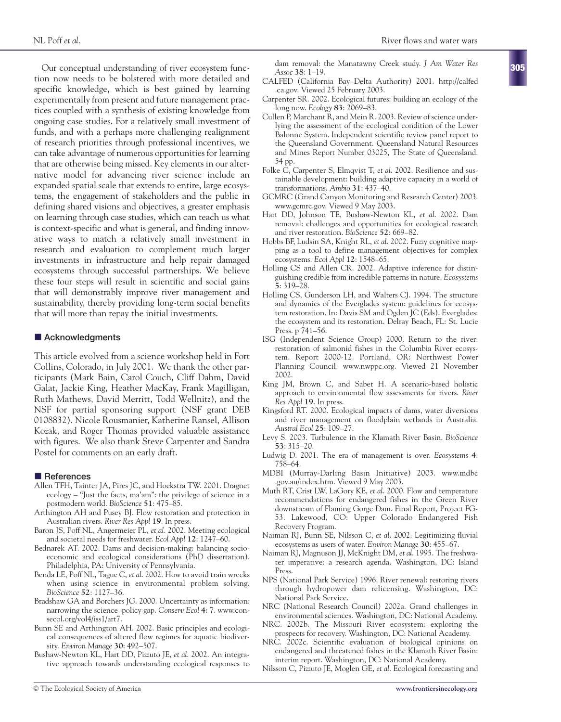Our conceptual understanding of river ecosystem function now needs to be bolstered with more detailed and specific knowledge, which is best gained by learning experimentally from present and future management practices coupled with a synthesis of existing knowledge from ongoing case studies. For a relatively small investment of funds, and with a perhaps more challenging realignment of research priorities through professional incentives, we can take advantage of numerous opportunities for learning that are otherwise being missed. Key elements in our alternative model for advancing river science include an expanded spatial scale that extends to entire, large ecosystems, the engagement of stakeholders and the public in defining shared visions and objectives, a greater emphasis on learning through case studies, which can teach us what is context-specific and what is general, and finding innovative ways to match a relatively small investment in research and evaluation to complement much larger investments in infrastructure and help repair damaged ecosystems through successful partnerships. We believe these four steps will result in scientific and social gains that will demonstrably improve river management and sustainability, thereby providing long-term social benefits that will more than repay the initial investments.

## ■ Acknowledgments

This article evolved from a science workshop held in Fort Collins, Colorado, in July 2001. We thank the other participants (Mark Bain, Carol Couch, Cliff Dahm, David Galat, Jackie King, Heather MacKay, Frank Magilligan, Ruth Mathews, David Merritt, Todd Wellnitz), and the NSF for partial sponsoring support (NSF grant DEB 0108832). Nicole Rousmanier, Katherine Ransel, Allison Kozak, and Roger Thomas provided valuable assistance with figures. We also thank Steve Carpenter and Sandra Postel for comments on an early draft.

## - **References**

- Allen TFH, Tainter JA, Pires JC, and Hoekstra TW. 2001. Dragnet ecology – "Just the facts, ma'am": the privilege of science in a postmodern world. *BioScience* **51**: 475–85.
- Arthington AH and Pusey BJ. Flow restoration and protection in Australian rivers. *River Res Appl* **19**. In press.
- Baron JS, Poff NL, Angermeier PL, *et al*. 2002. Meeting ecological and societal needs for freshwater. *Ecol Appl* **12**: 1247–60.
- Bednarek AT. 2002. Dams and decision-making: balancing socioeconomic and ecological considerations (PhD dissertation). Philadelphia, PA: University of Pennsylvania.
- Benda LE, Poff NL, Tague C, *et al*. 2002. How to avoid train wrecks when using science in environmental problem solving. *BioScience* **52**: 1127–36.
- Bradshaw GA and Borchers JG. 2000. Uncertainty as information: narrowing the science–policy gap. *Conserv Ecol* **4**: 7. www.consecol.org/vol4/iss1/art7.
- Bunn SE and Arthington AH. 2002. Basic principles and ecological consequences of altered flow regimes for aquatic biodiversity. *Environ Manage* **30**: 492–507.
- Bushaw-Newton KL, Hart DD, Pizzuto JE, *et al*. 2002. An integrative approach towards understanding ecological responses to

dam removal: the Manatawny Creek study. *J Am Water Res Assoc* **38**: 1–19.

- CALFED (California Bay–Delta Authority) 2001. http://calfed .ca.gov. Viewed 25 February 2003.
- Carpenter SR. 2002. Ecological futures: building an ecology of the long now. *Ecology* **83**: 2069–83.
- Cullen P, Marchant R, and Mein R. 2003. Review of science underlying the assessment of the ecological condition of the Lower Balonne System. Independent scientific review panel report to the Queensland Government. Queensland Natural Resources and Mines Report Number 03025, The State of Queensland. 54 pp.
- Folke C, Carpenter S, Elmqvist T, *et al*. 2002. Resilience and sustainable development: building adaptive capacity in a world of transformations. *Ambio* **31**: 437–40.
- GCMRC (Grand Canyon Monitoring and Research Center) 2003. www.gcmrc.gov. Viewed 9 May 2003.
- Hart DD, Johnson TE, Bushaw-Newton KL, *et al*. 2002. Dam removal: challenges and opportunities for ecological research and river restoration. *BioScience* **52**: 669–82.
- Hobbs BF, Ludsin SA, Knight RL, *et al*. 2002. Fuzzy cognitive mapping as a tool to define management objectives for complex ecosystems. *Ecol Appl* **12**: 1548–65.
- Holling CS and Allen CR. 2002. Adaptive inference for distinguishing credible from incredible patterns in nature. *Ecosystems* **5**: 319–28.
- Holling CS, Gunderson LH, and Walters CJ. 1994. The structure and dynamics of the Everglades system: guidelines for ecosystem restoration. In: Davis SM and Ogden JC (Eds). Everglades: the ecosystem and its restoration. Delray Beach, FL: St. Lucie Press. p 741–56.
- ISG (Independent Science Group) 2000. Return to the river: restoration of salmonid fishes in the Columbia River ecosystem. Report 2000-12. Portland, OR: Northwest Power Planning Council. www.nwppc.org. Viewed 21 November 2002.
- King JM, Brown C, and Sabet H. A scenario-based holistic approach to environmental flow assessments for rivers. *River Res Appl* **19**. In press.
- Kingsford RT. 2000. Ecological impacts of dams, water diversions and river management on floodplain wetlands in Australia. *Austral Ecol* **25**: 109–27.
- Levy S. 2003. Turbulence in the Klamath River Basin. *BioScience* **53**: 315–20.
- Ludwig D. 2001. The era of management is over. *Ecosystems* **4**: 758–64.
- MDBI (Murray-Darling Basin Initiative) 2003. www.mdbc .gov.au/index.htm. Viewed 9 May 2003.
- Muth RT, Crist LW, LaGory KE, *et al*. 2000. Flow and temperature recommendations for endangered fishes in the Green River downstream of Flaming Gorge Dam. Final Report, Project FG-53. Lakewood, CO: Upper Colorado Endangered Fish Recovery Program.
- Naiman RJ, Bunn SE, Nilsson C, *et al*. 2002. Legitimizing fluvial ecosystems as users of water. *Environ Manage* **30**: 455–67.
- Naiman RJ, Magnuson JJ, McKnight DM, *et al*. 1995. The freshwater imperative: a research agenda. Washington, DC: Island Press.
- NPS (National Park Service) 1996. River renewal: restoring rivers through hydropower dam relicensing. Washington, DC: National Park Service.
- NRC (National Research Council) 2002a. Grand challenges in environmental sciences. Washington, DC: National Academy.
- NRC. 2002b. The Missouri River ecosystem: exploring the prospects for recovery. Washington, DC: National Academy.
- NRC. 2002c. Scientific evaluation of biological opinions on endangered and threatened fishes in the Klamath River Basin: interim report. Washington, DC: National Academy.
- Nilsson C, Pizzuto JE, Moglen GE, *et al*. Ecological forecasting and

**305**